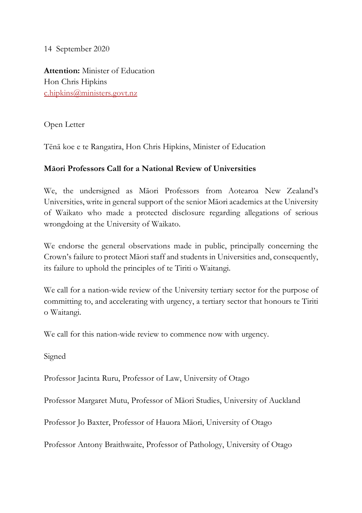14 September 2020

**Attention:** Minister of Education Hon Chris Hipkins c.hipkins@ministers.govt.nz

Open Letter

Tēnā koe e te Rangatira, Hon Chris Hipkins, Minister of Education

## **Māori Professors Call for a National Review of Universities**

We, the undersigned as Māori Professors from Aotearoa New Zealand's Universities, write in general support of the senior Māori academics at the University of Waikato who made a protected disclosure regarding allegations of serious wrongdoing at the University of Waikato.

We endorse the general observations made in public, principally concerning the Crown's failure to protect Māori staff and students in Universities and, consequently, its failure to uphold the principles of te Tiriti o Waitangi.

We call for a nation-wide review of the University tertiary sector for the purpose of committing to, and accelerating with urgency, a tertiary sector that honours te Tiriti o Waitangi.

We call for this nation-wide review to commence now with urgency.

Signed

Professor Jacinta Ruru, Professor of Law, University of Otago

Professor Margaret Mutu, Professor of Māori Studies, University of Auckland

Professor Jo Baxter, Professor of Hauora Māori, University of Otago

Professor Antony Braithwaite, Professor of Pathology, University of Otago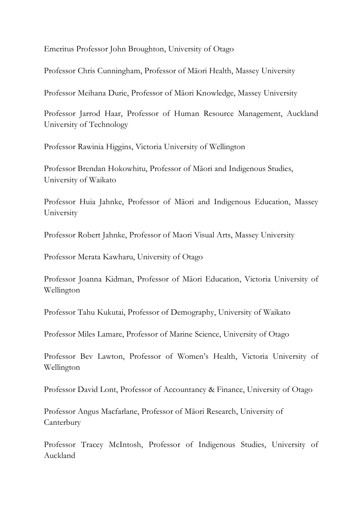Emeritus Professor John Broughton, University of Otago

Professor Chris Cunningham, Professor of Māori Health, Massey University

Professor Meihana Durie, Professor of Māori Knowledge, Massey University

Professor Jarrod Haar, Professor of Human Resource Management, Auckland University of Technology

Professor Rawinia Higgins, Victoria University of Wellington

Professor Brendan Hokowhitu, Professor of Māori and Indigenous Studies, University of Waikato

Professor Huia Jahnke, Professor of Māori and Indigenous Education, Massey University

Professor Robert Jahnke, Professor of Maori Visual Arts, Massey University

Professor Merata Kawharu, University of Otago

Professor Joanna Kidman, Professor of Māori Education, Victoria University of Wellington

Professor Tahu Kukutai, Professor of Demography, University of Waikato

Professor Miles Lamare, Professor of Marine Science, University of Otago

Professor Bev Lawton, Professor of Women's Health, Victoria University of Wellington

Professor David Lont, Professor of Accountancy & Finance, University of Otago

Professor Angus Macfarlane, Professor of Māori Research, University of **Canterbury** 

Professor Tracey McIntosh, Professor of Indigenous Studies, University of Auckland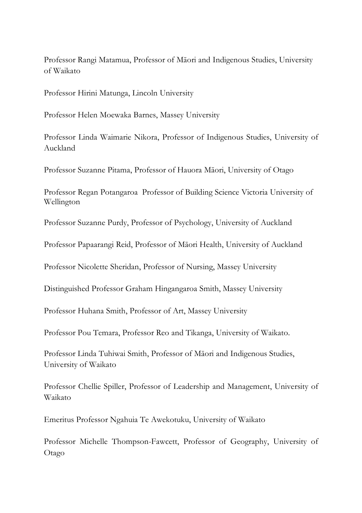Professor Rangi Matamua, Professor of Māori and Indigenous Studies, University of Waikato

Professor Hirini Matunga, Lincoln University

Professor Helen Moewaka Barnes, Massey University

Professor Linda Waimarie Nikora, Professor of Indigenous Studies, University of Auckland

Professor Suzanne Pitama, Professor of Hauora Māori, University of Otago

Professor Regan Potangaroa Professor of Building Science Victoria University of Wellington

Professor Suzanne Purdy, Professor of Psychology, University of Auckland

Professor Papaarangi Reid, Professor of Māori Health, University of Auckland

Professor Nicolette Sheridan, Professor of Nursing, Massey University

Distinguished Professor Graham Hingangaroa Smith, Massey University

Professor Huhana Smith, Professor of Art, Massey University

Professor Pou Temara, Professor Reo and Tikanga, University of Waikato.

Professor Linda Tuhiwai Smith, Professor of Māori and Indigenous Studies, University of Waikato

Professor Chellie Spiller, Professor of Leadership and Management, University of Waikato

Emeritus Professor Ngahuia Te Awekotuku, University of Waikato

Professor Michelle Thompson-Fawcett, Professor of Geography, University of Otago